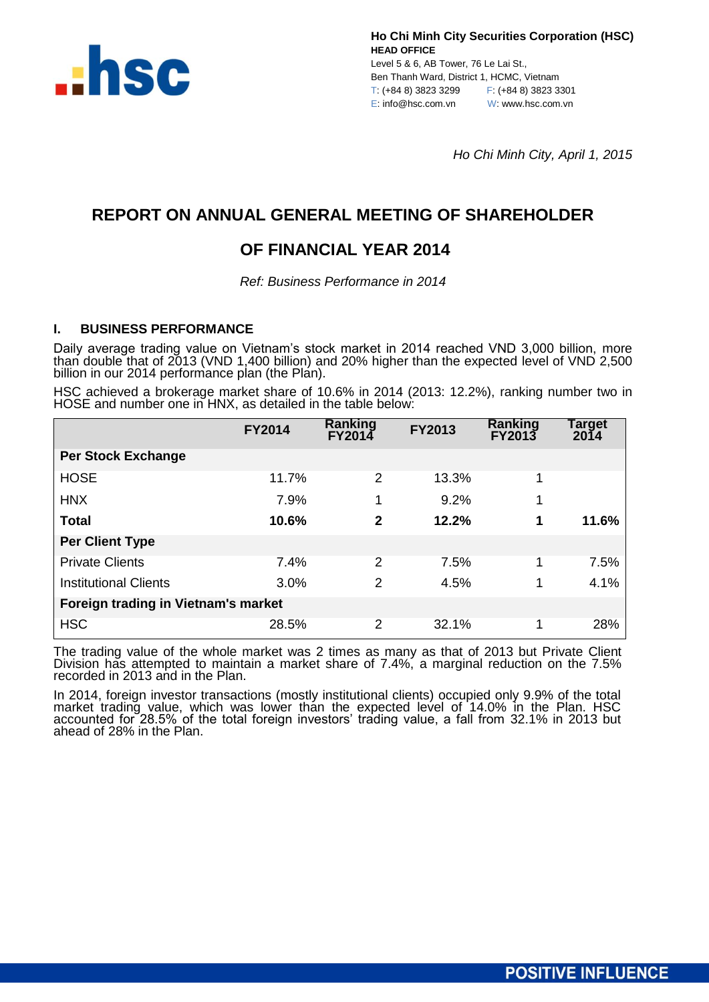

Level 5 & 6, AB Tower, 76 Le Lai St., Ben Thanh Ward, District 1, HCMC, Vietnam T: (+84 8) 3823 3299 F: (+84 8) 3823 3301 E: info@hsc.com.vn W: www.hsc.com.vn

*Ho Chi Minh City, April 1, 2015*

# **REPORT ON ANNUAL GENERAL MEETING OF SHAREHOLDER**

# **OF FINANCIAL YEAR 2014**

*Ref: Business Performance in 2014*

# **I. BUSINESS PERFORMANCE**

Daily average trading value on Vietnam's stock market in 2014 reached VND 3,000 billion, more than double that of 2013 (VND 1,400 billion) and 20% higher than the expected level of VND 2,500 billion in our 2014 performance plan (the Plan).

HSC achieved a brokerage market share of 10.6% in 2014 (2013: 12.2%), ranking number two in HOSE and number one in HNX, as detailed in the table below:

|                                     | <b>FY2014</b> | <b>Ranking</b><br>FY2014 | FY2013 | <b>Ranking</b><br>FY2013 | Target<br>2014 |  |
|-------------------------------------|---------------|--------------------------|--------|--------------------------|----------------|--|
| <b>Per Stock Exchange</b>           |               |                          |        |                          |                |  |
| <b>HOSE</b>                         | 11.7%         | 2                        | 13.3%  |                          |                |  |
| <b>HNX</b>                          | 7.9%          | 1                        | 9.2%   |                          |                |  |
| <b>Total</b>                        | 10.6%         | 2                        | 12.2%  | 1                        | 11.6%          |  |
| <b>Per Client Type</b>              |               |                          |        |                          |                |  |
| <b>Private Clients</b>              | 7.4%          | 2                        | 7.5%   |                          | 7.5%           |  |
| <b>Institutional Clients</b>        | 3.0%          | 2                        | 4.5%   | 1                        | 4.1%           |  |
| Foreign trading in Vietnam's market |               |                          |        |                          |                |  |
| <b>HSC</b>                          | 28.5%         | 2                        | 32.1%  |                          | 28%            |  |

The trading value of the whole market was 2 times as many as that of 2013 but Private Client Division has attempted to maintain a market share of 7.4%, a marginal reduction on the 7.5% recorded in 2013 and in the Plan.

In 2014, foreign investor transactions (mostly institutional clients) occupied only 9.9% of the total market trading value, which was lower than the expected level of 14.0% in the Plan. HSC accounted for 28.5% of the total foreign investors' trading value, a fall from 32.1% in 2013 but ahead of 28% in the Plan.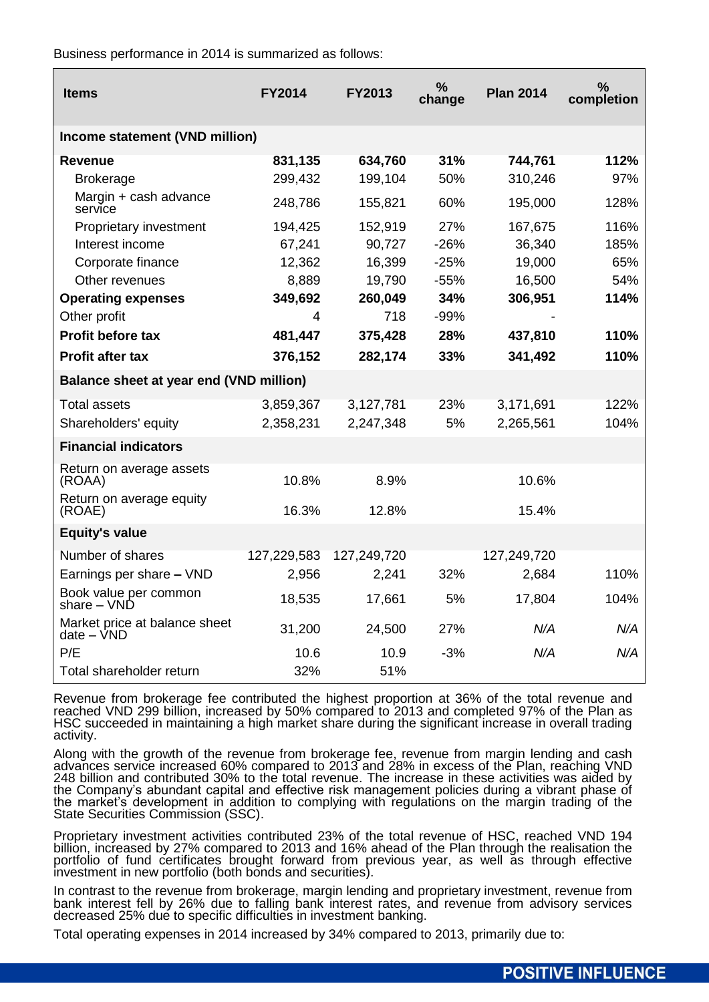Business performance in 2014 is summarized as follows:

| <b>Items</b>                                  | <b>FY2014</b> | <b>FY2013</b> | $\frac{9}{6}$<br>change | <b>Plan 2014</b> | ℅<br>completion |
|-----------------------------------------------|---------------|---------------|-------------------------|------------------|-----------------|
| Income statement (VND million)                |               |               |                         |                  |                 |
| <b>Revenue</b>                                | 831,135       | 634,760       | 31%                     | 744,761          | 112%            |
| <b>Brokerage</b>                              | 299,432       | 199,104       | 50%                     | 310,246          | 97%             |
| Margin + cash advance<br>service              | 248,786       | 155,821       | 60%                     | 195,000          | 128%            |
| Proprietary investment                        | 194,425       | 152,919       | 27%                     | 167,675          | 116%            |
| Interest income                               | 67,241        | 90,727        | $-26%$                  | 36,340           | 185%            |
| Corporate finance                             | 12,362        | 16,399        | $-25%$                  | 19,000           | 65%             |
| Other revenues                                | 8,889         | 19,790        | $-55%$                  | 16,500           | 54%             |
| <b>Operating expenses</b>                     | 349,692       | 260,049       | 34%                     | 306,951          | 114%            |
| Other profit                                  | 4             | 718           | $-99%$                  |                  |                 |
| Profit before tax                             | 481,447       | 375,428       | 28%                     | 437,810          | 110%            |
| <b>Profit after tax</b>                       | 376,152       | 282,174       | 33%                     | 341,492          | 110%            |
| Balance sheet at year end (VND million)       |               |               |                         |                  |                 |
| <b>Total assets</b>                           | 3,859,367     | 3,127,781     | 23%                     | 3,171,691        | 122%            |
| Shareholders' equity                          | 2,358,231     | 2,247,348     | 5%                      | 2,265,561        | 104%            |
| <b>Financial indicators</b>                   |               |               |                         |                  |                 |
| Return on average assets<br>(ROAA)            | 10.8%         | 8.9%          |                         | 10.6%            |                 |
| Return on average equity<br>(ROAE)            | 16.3%         | 12.8%         |                         | 15.4%            |                 |
| <b>Equity's value</b>                         |               |               |                         |                  |                 |
| Number of shares                              | 127,229,583   | 127,249,720   |                         | 127,249,720      |                 |
| Earnings per share - VND                      | 2,956         | 2,241         | 32%                     | 2,684            | 110%            |
| Book value per common<br>share – VND          | 18,535        | 17,661        | 5%                      | 17,804           | 104%            |
| Market price at balance sheet<br>$date - VND$ | 31,200        | 24,500        | 27%                     | N/A              | N/A             |
| P/E                                           | 10.6          | 10.9          | $-3%$                   | N/A              | N/A             |
| Total shareholder return                      | 32%           | 51%           |                         |                  |                 |

Revenue from brokerage fee contributed the highest proportion at 36% of the total revenue and reached VND 299 billion, increased by 50% compared to 2013 and completed 97% of the Plan as HSC succeeded in maintaining a high market share during the significant increase in overall trading activity.

Along with the growth of the revenue from brokerage fee, revenue from margin lending and cash advances service increased 60% compared to 2013 and 28% in excess of the Plan, reaching VND 248 billion and contributed 30% to the total revenue. The increase in these activities was aided by the Company's abundant capital and effective risk management policies during a vibrant phase of the market's development in addition to complying with regulations on the margin trading of the State Securities Commission (SSC).

Proprietary investment activities contributed 23% of the total revenue of HSC, reached VND 194 billion, increased by 27% compared to 2013 and 16% ahead of the Plan through the realisation the portfolio of fund certificates brought forward from previous year, as well as through effective investment in new portfolio (both bonds and securities).

In contrast to the revenue from brokerage, margin lending and proprietary investment, revenue from bank interest fell by 26% due to falling bank interest rates, and revenue from advisory services decreased 25% due to specific difficulties in investment banking.

Total operating expenses in 2014 increased by 34% compared to 2013, primarily due to: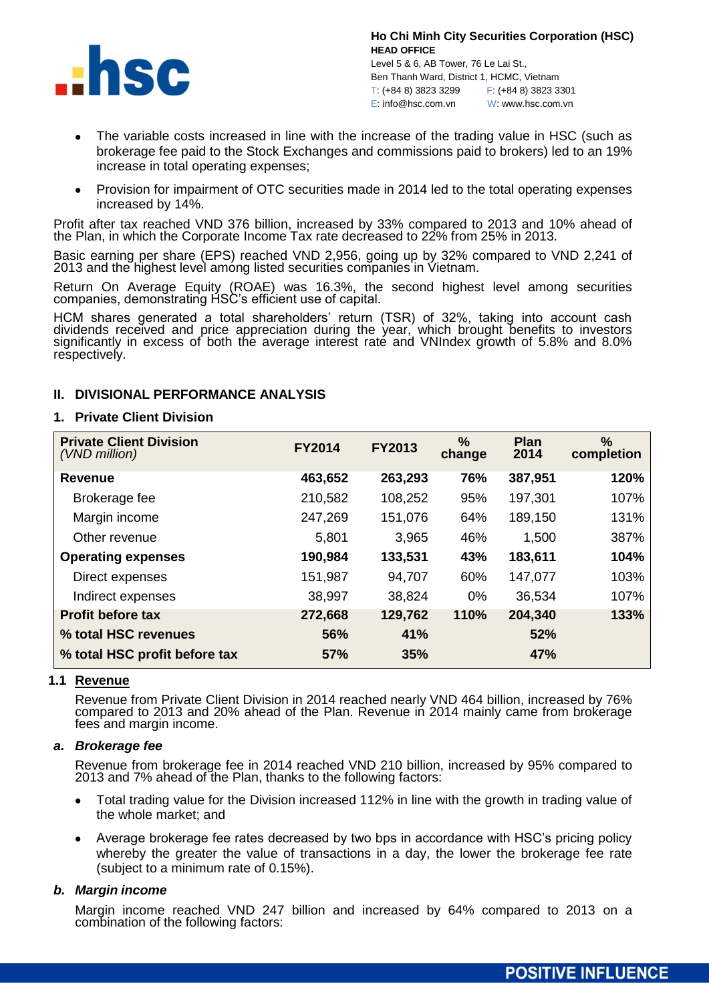

Level 5 & 6, AB Tower, 76 Le Lai St., Ben Thanh Ward, District 1, HCMC, Vietnam T: (+84 8) 3823 3299 F: (+84 8) 3823 3301 E: info@hsc.com.vn W: www.hsc.com.vn

- The variable costs increased in line with the increase of the trading value in HSC (such as brokerage fee paid to the Stock Exchanges and commissions paid to brokers) led to an 19% increase in total operating expenses;
- Provision for impairment of OTC securities made in 2014 led to the total operating expenses increased by 14%.

Profit after tax reached VND 376 billion, increased by 33% compared to 2013 and 10% ahead of the Plan, in which the Corporate Income Tax rate decreased to 22% from 25% in 2013.

Basic earning per share (EPS) reached VND 2,956, going up by 32% compared to VND 2,241 of 2013 and the highest level among listed securities companies in Vietnam.

Return On Average Equity (ROAE) was 16.3%, the second highest level among securities companies, demonstrating HSC's efficient use of capital.

HCM shares generated a total shareholders' return (TSR) of 32%, taking into account cash dividends received and price appreciation during the year, which brought benefits to investors significantly in excess of both the average interest rate and VNIndex growth of 5.8% and 8.0% respectively.

## **II. DIVISIONAL PERFORMANCE ANALYSIS**

## **1. Private Client Division**

| <b>Private Client Division</b><br>(VND million) | <b>FY2014</b> | <b>FY2013</b> | %<br>change | <b>Plan</b><br>2014 | %<br>completion |
|-------------------------------------------------|---------------|---------------|-------------|---------------------|-----------------|
| Revenue                                         | 463,652       | 263,293       | 76%         | 387,951             | 120%            |
| Brokerage fee                                   | 210,582       | 108,252       | 95%         | 197,301             | 107%            |
| Margin income                                   | 247,269       | 151,076       | 64%         | 189,150             | 131%            |
| Other revenue                                   | 5,801         | 3,965         | 46%         | 1,500               | 387%            |
| <b>Operating expenses</b>                       | 190,984       | 133,531       | 43%         | 183,611             | 104%            |
| Direct expenses                                 | 151,987       | 94,707        | 60%         | 147,077             | 103%            |
| Indirect expenses                               | 38,997        | 38,824        | 0%          | 36,534              | 107%            |
| <b>Profit before tax</b>                        | 272,668       | 129,762       | 110%        | 204,340             | 133%            |
| % total HSC revenues                            | 56%           | 41%           |             | 52%                 |                 |
| % total HSC profit before tax                   | 57%           | 35%           |             | 47%                 |                 |

## **1.1 Revenue**

Revenue from Private Client Division in 2014 reached nearly VND 464 billion, increased by 76% compared to 2013 and 20% ahead of the Plan. Revenue in 2014 mainly came from brokerage fees and margin income.

## *a. Brokerage fee*

Revenue from brokerage fee in 2014 reached VND 210 billion, increased by 95% compared to 2013 and 7% ahead of the Plan, thanks to the following factors:

- Total trading value for the Division increased 112% in line with the growth in trading value of the whole market; and
- Average brokerage fee rates decreased by two bps in accordance with HSC's pricing policy whereby the greater the value of transactions in a day, the lower the brokerage fee rate (subject to a minimum rate of 0.15%).

## *b. Margin income*

Margin income reached VND 247 billion and increased by 64% compared to 2013 on a combination of the following factors: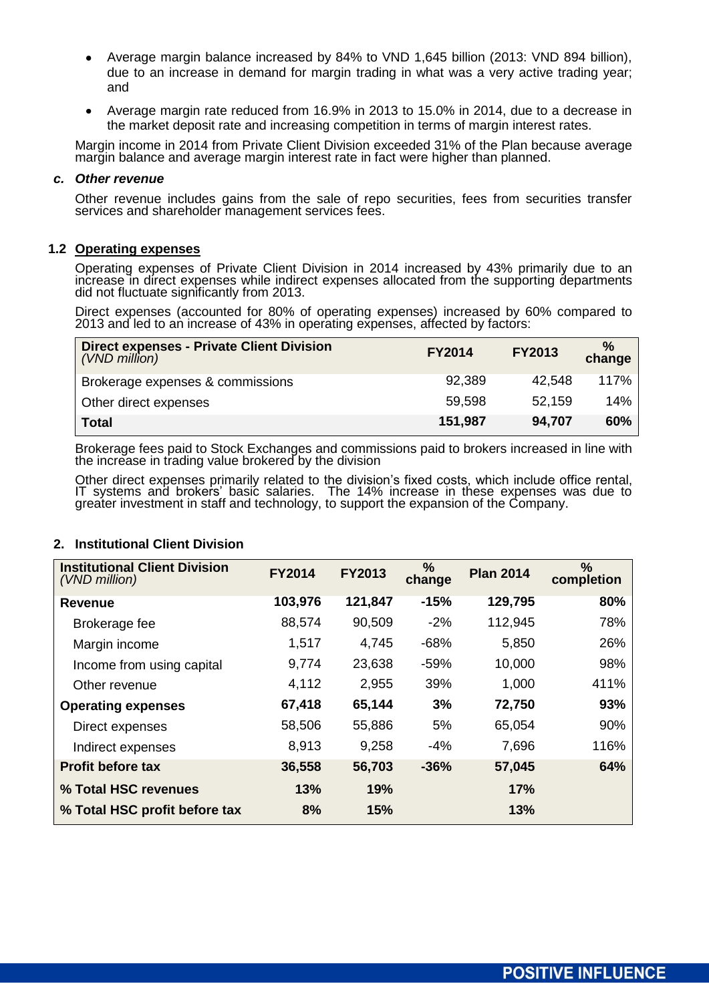- Average margin balance increased by 84% to VND 1,645 billion (2013: VND 894 billion), due to an increase in demand for margin trading in what was a very active trading year; and
- Average margin rate reduced from 16.9% in 2013 to 15.0% in 2014, due to a decrease in the market deposit rate and increasing competition in terms of margin interest rates.

Margin income in 2014 from Private Client Division exceeded 31% of the Plan because average margin balance and average margin interest rate in fact were higher than planned.

## *c. Other revenue*

Other revenue includes gains from the sale of repo securities, fees from securities transfer services and shareholder management services fees.

## **1.2 Operating expenses**

Operating expenses of Private Client Division in 2014 increased by 43% primarily due to an increase in direct expenses while indirect expenses allocated from the supporting departments did not fluctuate significantly from 2013.

Direct expenses (accounted for 80% of operating expenses) increased by 60% compared to 2013 and led to an increase of 43% in operating expenses, affected by factors:

| <b>Direct expenses - Private Client Division</b><br>(VND million) | <b>FY2014</b> | <b>FY2013</b> | $\frac{0}{0}$<br>change |
|-------------------------------------------------------------------|---------------|---------------|-------------------------|
| Brokerage expenses & commissions                                  | 92,389        | 42,548        | 117%                    |
| Other direct expenses                                             | 59,598        | 52.159        | 14%                     |
| <b>Total</b>                                                      | 151,987       | 94,707        | 60%                     |

Brokerage fees paid to Stock Exchanges and commissions paid to brokers increased in line with the increase in trading value brokered by the division

Other direct expenses primarily related to the division's fixed costs, which include office rental, IT systems and brokers' basic salaries. The 14% increase in these expenses was due to greater investment in staff and technology, to support the expansion of the Company.

## **2. Institutional Client Division**

| <b>Institutional Client Division</b><br>(VND million) | <b>FY2014</b> | <b>FY2013</b> | %<br>change | <b>Plan 2014</b> | %<br>completion |
|-------------------------------------------------------|---------------|---------------|-------------|------------------|-----------------|
| <b>Revenue</b>                                        | 103,976       | 121,847       | $-15%$      | 129,795          | 80%             |
| Brokerage fee                                         | 88,574        | 90,509        | $-2%$       | 112,945          | 78%             |
| Margin income                                         | 1,517         | 4,745         | $-68%$      | 5,850            | 26%             |
| Income from using capital                             | 9,774         | 23,638        | $-59%$      | 10,000           | 98%             |
| Other revenue                                         | 4,112         | 2,955         | 39%         | 1,000            | 411%            |
| <b>Operating expenses</b>                             | 67,418        | 65,144        | 3%          | 72,750           | 93%             |
| Direct expenses                                       | 58,506        | 55,886        | 5%          | 65,054           | 90%             |
| Indirect expenses                                     | 8,913         | 9,258         | $-4%$       | 7,696            | 116%            |
| <b>Profit before tax</b>                              | 36,558        | 56,703        | $-36%$      | 57,045           | 64%             |
| % Total HSC revenues                                  | 13%           | 19%           |             | 17%              |                 |
| % Total HSC profit before tax                         | 8%            | 15%           |             | 13%              |                 |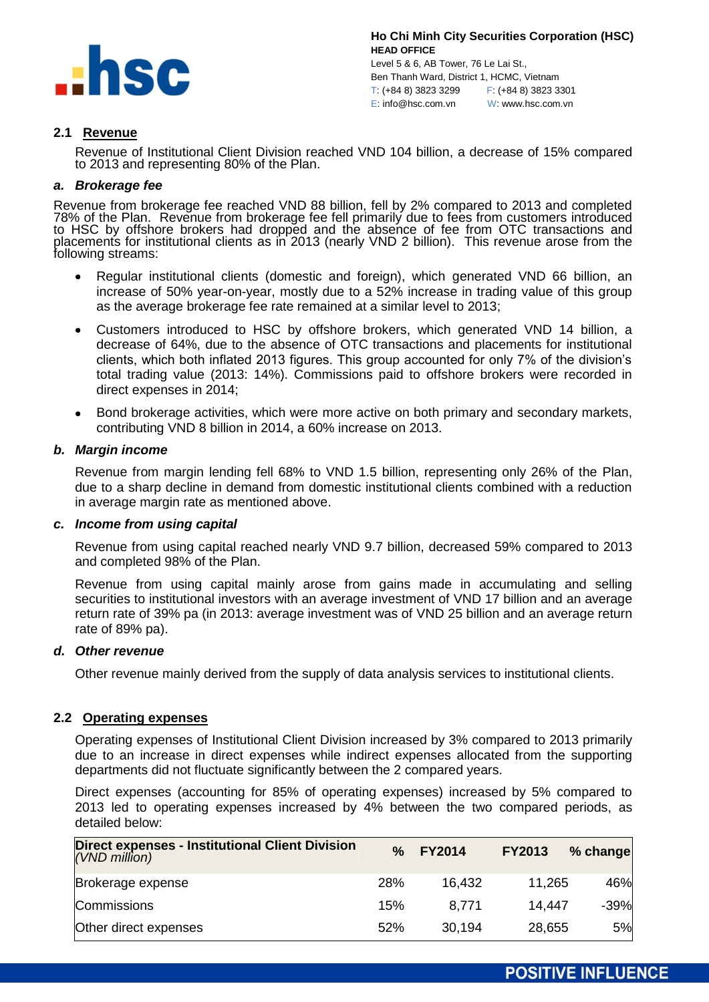

Level 5 & 6, AB Tower, 76 Le Lai St., Ben Thanh Ward, District 1, HCMC, Vietnam T: (+84 8) 3823 3299 F: (+84 8) 3823 3301 E: info@hsc.com.vn W: www.hsc.com.vn

## **2.1 Revenue**

Revenue of Institutional Client Division reached VND 104 billion, a decrease of 15% compared to 2013 and representing 80% of the Plan.

## *a. Brokerage fee*

Revenue from brokerage fee reached VND 88 billion, fell by 2% compared to 2013 and completed 78% of the Plan. Revenue from brokerage fee fell primarily due to fees from customers introduced to HSC by offshore brokers had dropped and the absence of fee from OTC transactions and placements for institutional clients as in 2013 (nearly VND 2 billion). This revenue arose from the following streams:

- Regular institutional clients (domestic and foreign), which generated VND 66 billion, an  $\bullet$ increase of 50% year-on-year, mostly due to a 52% increase in trading value of this group as the average brokerage fee rate remained at a similar level to 2013;
- Customers introduced to HSC by offshore brokers, which generated VND 14 billion, a  $\bullet$ decrease of 64%, due to the absence of OTC transactions and placements for institutional clients, which both inflated 2013 figures. This group accounted for only 7% of the division's total trading value (2013: 14%). Commissions paid to offshore brokers were recorded in direct expenses in 2014;
- Bond brokerage activities, which were more active on both primary and secondary markets, contributing VND 8 billion in 2014, a 60% increase on 2013.

## *b. Margin income*

Revenue from margin lending fell 68% to VND 1.5 billion, representing only 26% of the Plan, due to a sharp decline in demand from domestic institutional clients combined with a reduction in average margin rate as mentioned above.

## *c. Income from using capital*

Revenue from using capital reached nearly VND 9.7 billion, decreased 59% compared to 2013 and completed 98% of the Plan.

Revenue from using capital mainly arose from gains made in accumulating and selling securities to institutional investors with an average investment of VND 17 billion and an average return rate of 39% pa (in 2013: average investment was of VND 25 billion and an average return rate of 89% pa).

## *d. Other revenue*

Other revenue mainly derived from the supply of data analysis services to institutional clients.

## **2.2 Operating expenses**

Operating expenses of Institutional Client Division increased by 3% compared to 2013 primarily due to an increase in direct expenses while indirect expenses allocated from the supporting departments did not fluctuate significantly between the 2 compared years.

Direct expenses (accounting for 85% of operating expenses) increased by 5% compared to 2013 led to operating expenses increased by 4% between the two compared periods, as detailed below:

| <b>Direct expenses - Institutional Client Division</b><br>(VND million) | $\frac{9}{6}$ | <b>FY2014</b> | <b>FY2013</b> | % change |
|-------------------------------------------------------------------------|---------------|---------------|---------------|----------|
| Brokerage expense                                                       | 28%           | 16.432        | 11,265        | 46%      |
| Commissions                                                             | 15%           | 8.771         | 14.447        | $-39%$   |
| Other direct expenses                                                   | 52%           | 30,194        | 28,655        | 5%       |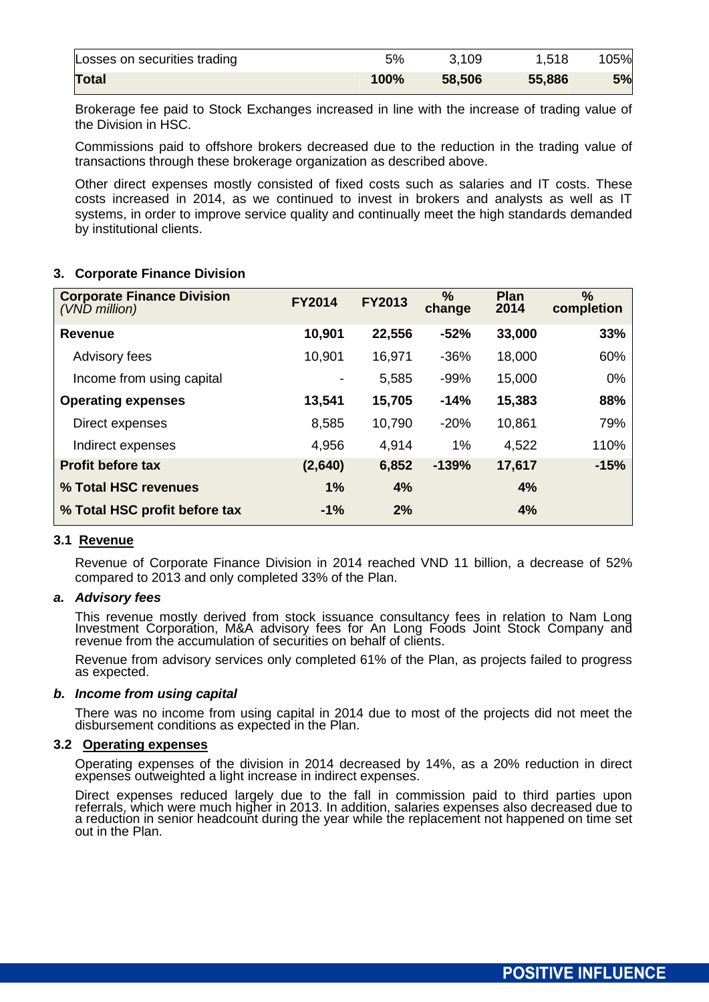| Losses on securities trading | 5%   | 3,109  | 1,518  | 105% |
|------------------------------|------|--------|--------|------|
| <b>Total</b>                 | 100% | 58,506 | 55,886 | 5%   |

Brokerage fee paid to Stock Exchanges increased in line with the increase of trading value of the Division in HSC.

Commissions paid to offshore brokers decreased due to the reduction in the trading value of transactions through these brokerage organization as described above.

Other direct expenses mostly consisted of fixed costs such as salaries and IT costs. These costs increased in 2014, as we continued to invest in brokers and analysts as well as IT systems, in order to improve service quality and continually meet the high standards demanded by institutional clients.

# **3. Corporate Finance Division**

| <b>Corporate Finance Division</b><br>(VND million) | <b>FY2014</b> | <b>FY2013</b> | $\%$<br>change | <b>Plan</b><br>2014 | $\frac{0}{0}$<br>completion |
|----------------------------------------------------|---------------|---------------|----------------|---------------------|-----------------------------|
| <b>Revenue</b>                                     | 10,901        | 22,556        | $-52%$         | 33,000              | 33%                         |
| Advisory fees                                      | 10,901        | 16,971        | $-36%$         | 18,000              | 60%                         |
| Income from using capital                          |               | 5,585         | $-99%$         | 15,000              | 0%                          |
| <b>Operating expenses</b>                          | 13,541        | 15,705        | $-14%$         | 15,383              | 88%                         |
| Direct expenses                                    | 8,585         | 10,790        | $-20%$         | 10,861              | 79%                         |
| Indirect expenses                                  | 4,956         | 4,914         | 1%             | 4,522               | 110%                        |
| <b>Profit before tax</b>                           | (2,640)       | 6,852         | $-139%$        | 17,617              | $-15%$                      |
| % Total HSC revenues                               | 1%            | 4%            |                | 4%                  |                             |
| % Total HSC profit before tax                      | $-1%$         | 2%            |                | 4%                  |                             |

## **3.1 Revenue**

Revenue of Corporate Finance Division in 2014 reached VND 11 billion, a decrease of 52% compared to 2013 and only completed 33% of the Plan.

## *a. Advisory fees*

This revenue mostly derived from stock issuance consultancy fees in relation to Nam Long Investment Corporation, M&A advisory fees for An Long Foods Joint Stock Company and revenue from the accumulation of securities on behalf of clients.

Revenue from advisory services only completed 61% of the Plan, as projects failed to progress as expected.

#### *b. Income from using capital*

There was no income from using capital in 2014 due to most of the projects did not meet the disbursement conditions as expected in the Plan.

## **3.2 Operating expenses**

Operating expenses of the division in 2014 decreased by 14%, as a 20% reduction in direct expenses outweighted a light increase in indirect expenses.

Direct expenses reduced largely due to the fall in commission paid to third parties upon referrals, which were much higher in 2013. In addition, salaries expenses also decreased due to a reduction in senior headcount during the year while the replacement not happened on time set out in the Plan.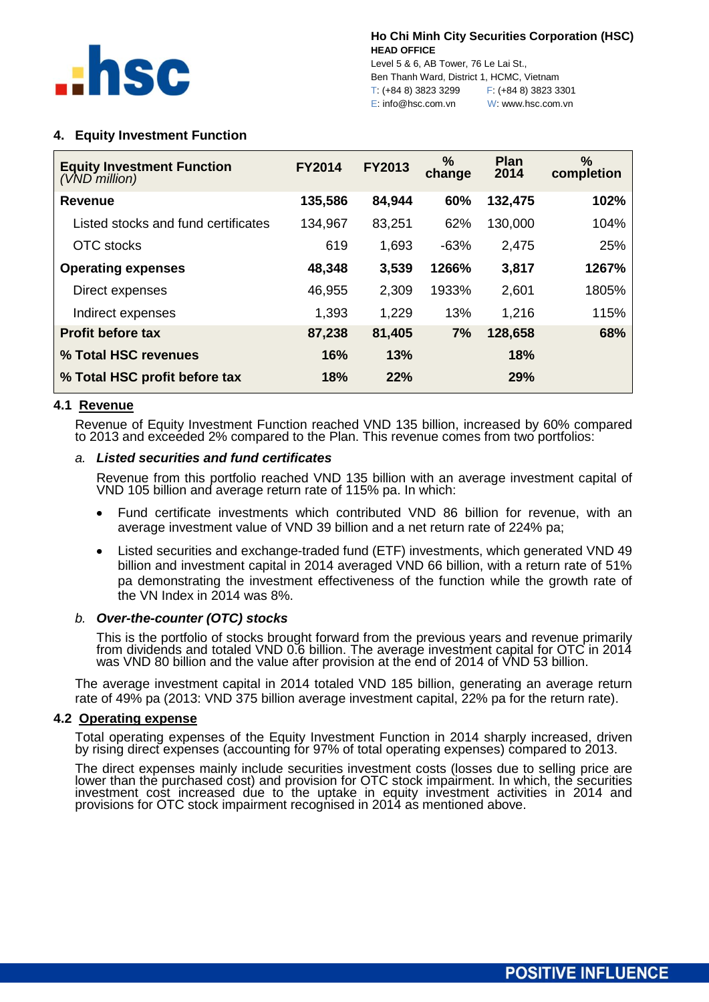

Level 5 & 6, AB Tower, 76 Le Lai St., Ben Thanh Ward, District 1, HCMC, Vietnam T: (+84 8) 3823 3299 F: (+84 8) 3823 3301 E: info@hsc.com.vn W: www.hsc.com.vn

# **4. Equity Investment Function**

| <b>Equity Investment Function</b><br>(VND million) | <b>FY2014</b> | <b>FY2013</b> | %<br>change | <b>Plan</b><br>2014 | %<br>completion |
|----------------------------------------------------|---------------|---------------|-------------|---------------------|-----------------|
| <b>Revenue</b>                                     | 135,586       | 84,944        | 60%         | 132,475             | 102%            |
| Listed stocks and fund certificates                | 134,967       | 83,251        | 62%         | 130,000             | 104%            |
| OTC stocks                                         | 619           | 1,693         | $-63%$      | 2,475               | 25%             |
| <b>Operating expenses</b>                          | 48,348        | 3,539         | 1266%       | 3,817               | 1267%           |
| Direct expenses                                    | 46,955        | 2,309         | 1933%       | 2,601               | 1805%           |
| Indirect expenses                                  | 1,393         | 1,229         | 13%         | 1,216               | 115%            |
| <b>Profit before tax</b>                           | 87,238        | 81,405        | 7%          | 128,658             | 68%             |
| % Total HSC revenues                               | 16%           | 13%           |             | 18%                 |                 |
| % Total HSC profit before tax                      | <b>18%</b>    | 22%           |             | 29%                 |                 |

## **4.1 Revenue**

Revenue of Equity Investment Function reached VND 135 billion, increased by 60% compared to 2013 and exceeded 2% compared to the Plan. This revenue comes from two portfolios:

## *a. Listed securities and fund certificates*

Revenue from this portfolio reached VND 135 billion with an average investment capital of VND 105 billion and average return rate of 115% pa. In which:

- Fund certificate investments which contributed VND 86 billion for revenue, with an  $\bullet$ average investment value of VND 39 billion and a net return rate of 224% pa;
- Listed securities and exchange-traded fund (ETF) investments, which generated VND 49 billion and investment capital in 2014 averaged VND 66 billion, with a return rate of 51% pa demonstrating the investment effectiveness of the function while the growth rate of the VN Index in 2014 was 8%.

## *b. Over-the-counter (OTC) stocks*

This is the portfolio of stocks brought forward from the previous years and revenue primarily from dividends and totaled VND 0.6 billion. The average investment capital for OTC in 2014 was VND 80 billion and the value after provision at the end of 2014 of VND 53 billion.

The average investment capital in 2014 totaled VND 185 billion, generating an average return rate of 49% pa (2013: VND 375 billion average investment capital, 22% pa for the return rate).

## **4.2 Operating expense**

Total operating expenses of the Equity Investment Function in 2014 sharply increased, driven by rising direct expenses (accounting for 97% of total operating expenses) compared to 2013.

The direct expenses mainly include securities investment costs (losses due to selling price are lower than the purchased cost) and provision for OTC stock impairment. In which, the securities investment cost increased due to the uptake in equity investment activities in 2014 and provisions for OTC stock impairment recognised in 2014 as mentioned above.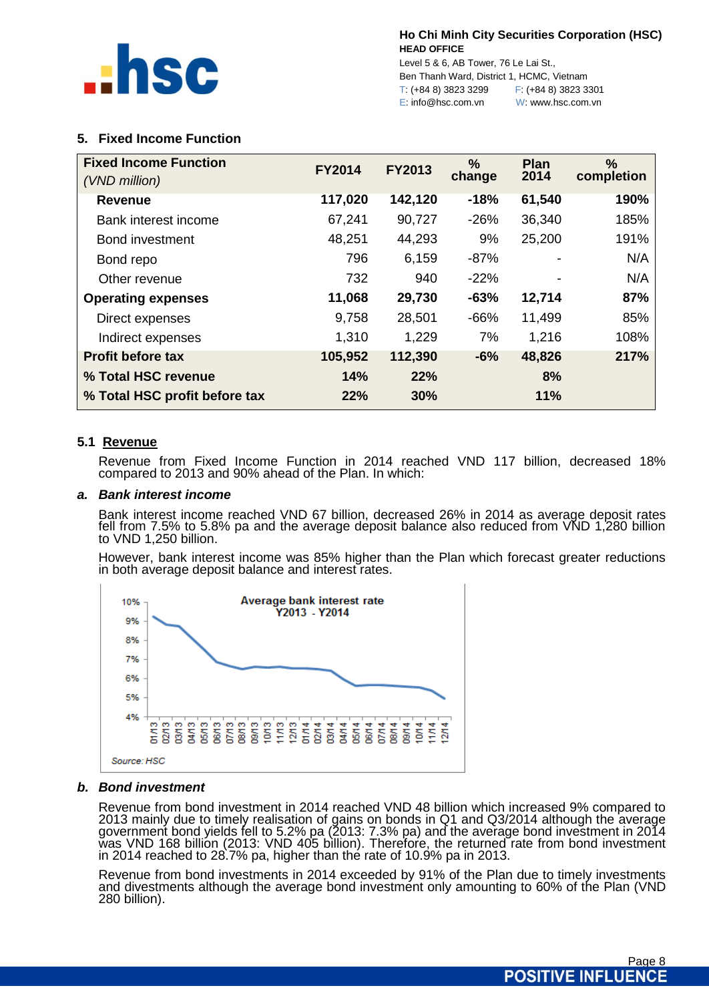

Level 5 & 6, AB Tower, 76 Le Lai St., Ben Thanh Ward, District 1, HCMC, Vietnam T: (+84 8) 3823 3299 F: (+84 8) 3823 3301 E: info@hsc.com.vn W: www.hsc.com.vn

# **5. Fixed Income Function**

| <b>Fixed Income Function</b><br>(VND million) | <b>FY2014</b> | <b>FY2013</b> | $\%$<br>change | Plan<br>2014 | %<br>completion |
|-----------------------------------------------|---------------|---------------|----------------|--------------|-----------------|
| <b>Revenue</b>                                | 117,020       | 142,120       | $-18%$         | 61,540       | 190%            |
| Bank interest income                          | 67,241        | 90,727        | $-26%$         | 36,340       | 185%            |
| Bond investment                               | 48,251        | 44,293        | 9%             | 25,200       | 191%            |
| Bond repo                                     | 796           | 6.159         | $-87%$         |              | N/A             |
| Other revenue                                 | 732           | 940           | $-22%$         |              | N/A             |
| <b>Operating expenses</b>                     | 11,068        | 29,730        | $-63%$         | 12,714       | 87%             |
| Direct expenses                               | 9,758         | 28,501        | $-66%$         | 11,499       | 85%             |
| Indirect expenses                             | 1,310         | 1,229         | 7%             | 1,216        | 108%            |
| <b>Profit before tax</b>                      | 105,952       | 112,390       | $-6%$          | 48,826       | 217%            |
| % Total HSC revenue                           | 14%           | 22%           |                | 8%           |                 |
| % Total HSC profit before tax                 | 22%           | 30%           |                | 11%          |                 |

## **5.1 Revenue**

Revenue from Fixed Income Function in 2014 reached VND 117 billion, decreased 18% compared to 2013 and 90% ahead of the Plan. In which:

## *a. Bank interest income*

Bank interest income reached VND 67 billion, decreased 26% in 2014 as average deposit rates fell from 7.5% to 5.8% pa and the average deposit balance also reduced from VND 1,280 billion to VND 1,250 billion.

However, bank interest income was 85% higher than the Plan which forecast greater reductions in both average deposit balance and interest rates.



## *b. Bond investment*

Revenue from bond investment in 2014 reached VND 48 billion which increased 9% compared to 2013 mainly due to timely realisation of gains on bonds in Q1 and Q3/2014 although the average government bond yields fell to 5.2% pa (2013: 7.3% pa) and the average bond investment in 2014 was VND 168 billion (2013: VND 405 billion). Therefore, the returned rate from bond investment in 2014 reached to 28.7% pa, higher than the rate of 10.9% pa in 2013.

Revenue from bond investments in 2014 exceeded by 91% of the Plan due to timely investments and divestments although the average bond investment only amounting to 60% of the Plan (VND 280 billion).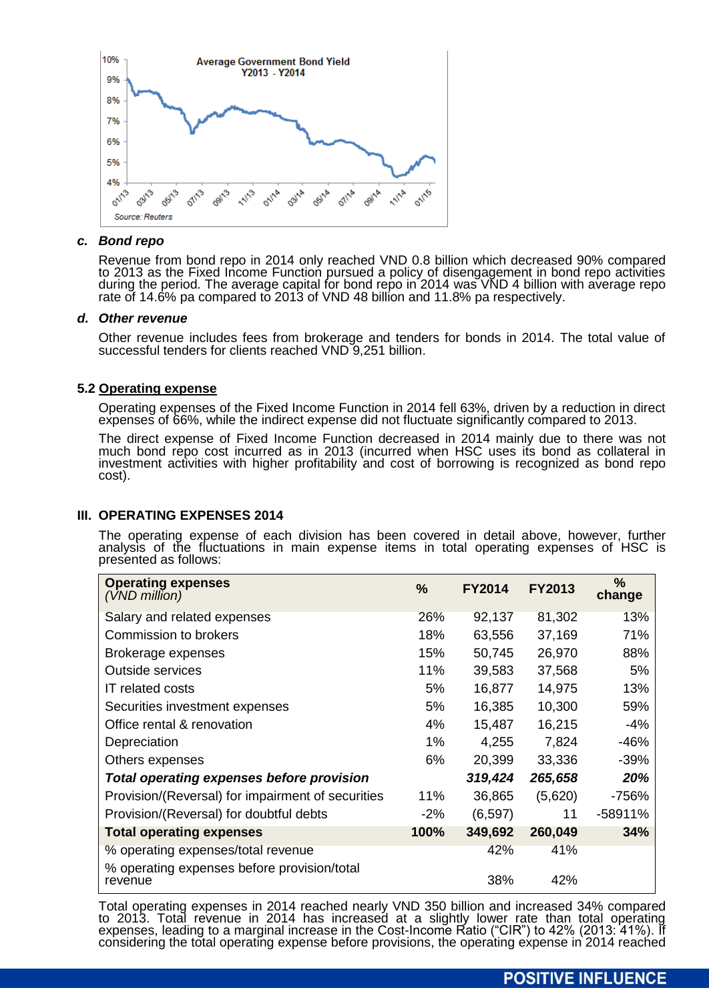

## *c. Bond repo*

Revenue from bond repo in 2014 only reached VND 0.8 billion which decreased 90% compared to 2013 as the Fixed Income Function pursued a policy of disengagement in bond repo activities during the period. The average capital for bond repo in 2014 was VND 4 billion with average repo rate of 14.6% pa compared to 2013 of VND 48 billion and 11.8% pa respectively.

## *d. Other revenue*

Other revenue includes fees from brokerage and tenders for bonds in 2014. The total value of successful tenders for clients reached VND 9,251 billion.

## **5.2 Operating expense**

Operating expenses of the Fixed Income Function in 2014 fell 63%, driven by a reduction in direct expenses of 66%, while the indirect expense did not fluctuate significantly compared to 2013.

The direct expense of Fixed Income Function decreased in 2014 mainly due to there was not much bond repo cost incurred as in 2013 (incurred when HSC uses its bond as collateral in investment activities with higher profitability and cost of borrowing is recognized as bond repo cost).

# **III. OPERATING EXPENSES 2014**

The operating expense of each division has been covered in detail above, however, further analysis of the fluctuations in main expense items in total operating expenses of HSC is presented as follows:

| <b>Operating expenses</b><br>$(VND$ million)                                      | %     | <b>FY2014</b> | <b>FY2013</b> | $\frac{9}{6}$<br>change |
|-----------------------------------------------------------------------------------|-------|---------------|---------------|-------------------------|
| Salary and related expenses                                                       | 26%   | 92,137        | 81,302        | 13%                     |
| <b>Commission to brokers</b>                                                      | 18%   | 63,556        | 37,169        | 71%                     |
| Brokerage expenses                                                                | 15%   | 50,745        | 26,970        | 88%                     |
| Outside services                                                                  | 11%   | 39,583        | 37,568        | 5%                      |
| <b>IT related costs</b>                                                           | 5%    | 16,877        | 14,975        | 13%                     |
| Securities investment expenses                                                    | 5%    | 16,385        | 10,300        | 59%                     |
| Office rental & renovation                                                        | 4%    | 15,487        | 16,215        | $-4%$                   |
| Depreciation                                                                      | 1%    | 4,255         | 7,824         | $-46%$                  |
| Others expenses                                                                   | 6%    | 20,399        | 33,336        | $-39%$                  |
| <b>Total operating expenses before provision</b>                                  |       | 319,424       | 265,658       | 20%                     |
| Provision/(Reversal) for impairment of securities                                 | 11%   | 36,865        | (5,620)       | $-756%$                 |
| Provision/(Reversal) for doubtful debts                                           | $-2%$ | (6, 597)      | 11            | $-58911%$               |
| <b>Total operating expenses</b>                                                   | 100%  | 349,692       | 260,049       | 34%                     |
| % operating expenses/total revenue<br>% operating expenses before provision/total |       | 42%           | 41%           |                         |
| revenue                                                                           |       | 38%           | 42%           |                         |

Total operating expenses in 2014 reached nearly VND 350 billion and increased 34% compared to 2013. Total revenue in 2014 has increased at a slightly lower rate than total operating expenses, leading to a marginal increase in the Cost-Income Ratio ("CIR") to 42% (2013: 41%). If considering the total operating expense before provisions, the operating expense in 2014 reached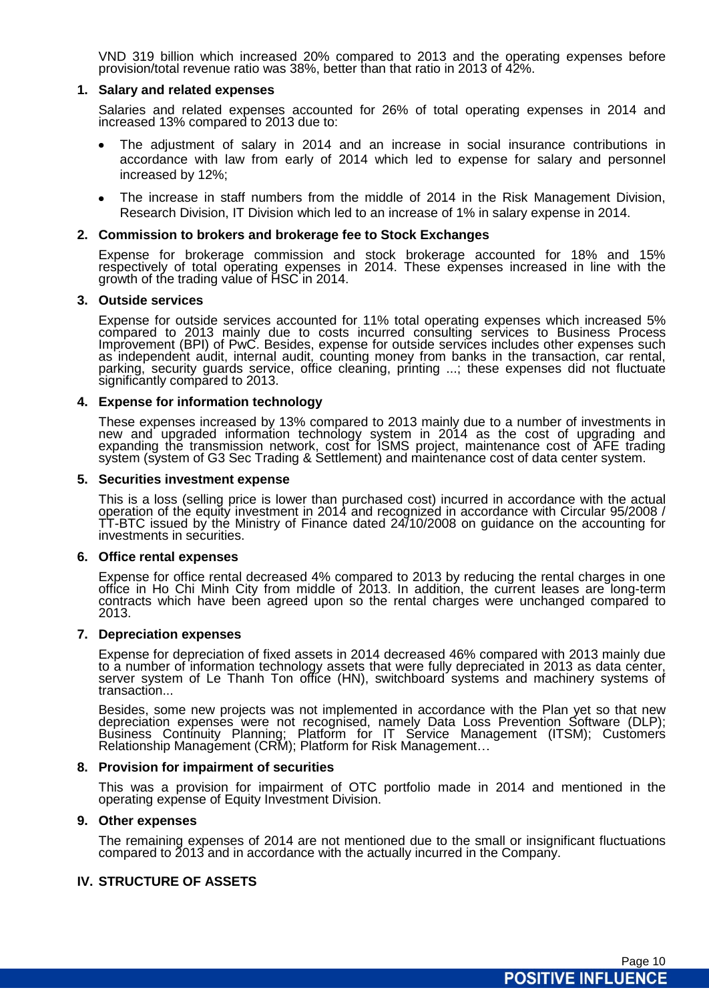VND 319 billion which increased 20% compared to 2013 and the operating expenses before provision/total revenue ratio was 38%, better than that ratio in 2013 of 42%.

## **1. Salary and related expenses**

Salaries and related expenses accounted for 26% of total operating expenses in 2014 and increased 13% compared to 2013 due to:

- The adjustment of salary in 2014 and an increase in social insurance contributions in accordance with law from early of 2014 which led to expense for salary and personnel increased by 12%;
- The increase in staff numbers from the middle of 2014 in the Risk Management Division, Research Division, IT Division which led to an increase of 1% in salary expense in 2014.

## **2. Commission to brokers and brokerage fee to Stock Exchanges**

Expense for brokerage commission and stock brokerage accounted for 18% and 15% respectively of total operating expenses in 2014. These expenses increased in line with the growth of the trading value of HSC in 2014.

## **3. Outside services**

Expense for outside services accounted for 11% total operating expenses which increased 5% compared to 2013 mainly due to costs incurred consulting services to Business Process Improvement (BPI) of PwC. Besides, expense for outside services includes other expenses such as independent audit, internal audit, counting money from banks in the transaction, car rental, parking, security guards service, office cleaning, printing ...; these expenses did not fluctuate significantly compared to 2013.

## **4. Expense for information technology**

These expenses increased by 13% compared to 2013 mainly due to a number of investments in new and upgraded information technology system in 2014 as the cost of upgrading and expanding the transmission network, cost for ISMS project, maintenance cost of AFE trading system (system of G3 Sec Trading & Settlement) and maintenance cost of data center system.

#### **5. Securities investment expense**

This is a loss (selling price is lower than purchased cost) incurred in accordance with the actual operation of the equity investment in 2014 and recognized in accordance with Circular 95/2008 / TT-BTC issued by the Ministry of Finance dated 24/10/2008 on guidance on the accounting for investments in securities.

#### **6. Office rental expenses**

Expense for office rental decreased 4% compared to 2013 by reducing the rental charges in one office in Ho Chi Minh City from middle of 2013. In addition, the current leases are long-term contracts which have been agreed upon so the rental charges were unchanged compared to 2013.

#### **7. Depreciation expenses**

Expense for depreciation of fixed assets in 2014 decreased 46% compared with 2013 mainly due to a number of information technology assets that were fully depreciated in 2013 as data center, server system of Le Thanh Ton office (HN), switchboard systems and machinery systems of transaction...

Besides, some new projects was not implemented in accordance with the Plan yet so that new depreciation expenses were not recognised, namely Data Loss Prevention Software (DLP); Business Continuity Planning; Platform for IT Service Management (ITSM); Customers Relationship Management (CRM); Platform for Risk Management...

#### **8. Provision for impairment of securities**

This was a provision for impairment of OTC portfolio made in 2014 and mentioned in the operating expense of Equity Investment Division.

#### **9. Other expenses**

The remaining expenses of 2014 are not mentioned due to the small or insignificant fluctuations compared to 2013 and in accordance with the actually incurred in the Company.

## **IV. STRUCTURE OF ASSETS**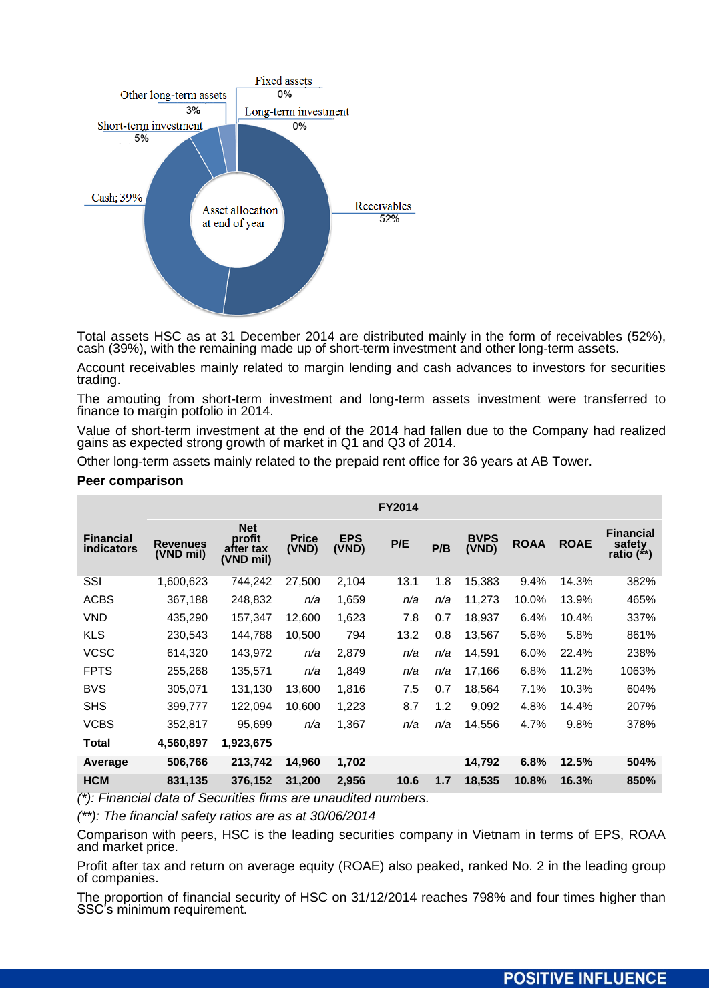

Total assets HSC as at 31 December 2014 are distributed mainly in the form of receivables (52%), cash (39%), with the remaining made up of short-term investment and other long-term assets.

Account receivables mainly related to margin lending and cash advances to investors for securities trading.

The amouting from short-term investment and long-term assets investment were transferred to finance to margin potfolio in 2014.

Value of short-term investment at the end of the 2014 had fallen due to the Company had realized gains as expected strong growth of market in Q1 and Q3 of 2014.

Other long-term assets mainly related to the prepaid rent office for 36 years at AB Tower.

#### **Peer comparison**

|                                       |                              |                                                |                       |                     | <b>FY2014</b> |     |                      |             |             |                                          |
|---------------------------------------|------------------------------|------------------------------------------------|-----------------------|---------------------|---------------|-----|----------------------|-------------|-------------|------------------------------------------|
| <b>Financial</b><br><b>indicators</b> | <b>Revenues</b><br>(VND mil) | <b>Net</b><br>profit<br>after tax<br>(VND mil) | <b>Price</b><br>(VND) | <b>EPS</b><br>(VND) | P/E           | P/B | <b>BVPS</b><br>(VND) | <b>ROAA</b> | <b>ROAE</b> | <b>Financial</b><br>safety<br>ratio (**) |
| SSI                                   | 1,600,623                    | 744,242                                        | 27,500                | 2,104               | 13.1          | 1.8 | 15,383               | 9.4%        | 14.3%       | 382%                                     |
| <b>ACBS</b>                           | 367,188                      | 248,832                                        | n/a                   | 1,659               | n/a           | n/a | 11,273               | 10.0%       | 13.9%       | 465%                                     |
| <b>VND</b>                            | 435,290                      | 157,347                                        | 12.600                | 1,623               | 7.8           | 0.7 | 18,937               | 6.4%        | 10.4%       | 337%                                     |
| <b>KLS</b>                            | 230,543                      | 144,788                                        | 10,500                | 794                 | 13.2          | 0.8 | 13,567               | 5.6%        | 5.8%        | 861%                                     |
| <b>VCSC</b>                           | 614,320                      | 143,972                                        | n/a                   | 2,879               | n/a           | n/a | 14,591               | 6.0%        | 22.4%       | 238%                                     |
| <b>FPTS</b>                           | 255,268                      | 135,571                                        | n/a                   | 1,849               | n/a           | n/a | 17,166               | 6.8%        | 11.2%       | 1063%                                    |
| <b>BVS</b>                            | 305,071                      | 131,130                                        | 13,600                | 1,816               | 7.5           | 0.7 | 18,564               | 7.1%        | 10.3%       | 604%                                     |
| <b>SHS</b>                            | 399,777                      | 122,094                                        | 10,600                | 1,223               | 8.7           | 1.2 | 9,092                | 4.8%        | 14.4%       | 207%                                     |
| <b>VCBS</b>                           | 352,817                      | 95,699                                         | n/a                   | 1,367               | n/a           | n/a | 14,556               | 4.7%        | 9.8%        | 378%                                     |
| Total                                 | 4,560,897                    | 1,923,675                                      |                       |                     |               |     |                      |             |             |                                          |
| Average                               | 506,766                      | 213,742                                        | 14,960                | 1,702               |               |     | 14,792               | 6.8%        | 12.5%       | 504%                                     |
| <b>HCM</b>                            | 831,135                      | 376,152                                        | 31,200                | 2,956               | 10.6          | 1.7 | 18,535               | 10.8%       | 16.3%       | 850%                                     |

*(\*): Financial data of Securities firms are unaudited numbers.*

*(\*\*): The financial safety ratios are as at 30/06/2014*

Comparison with peers, HSC is the leading securities company in Vietnam in terms of EPS, ROAA and market price.

Profit after tax and return on average equity (ROAE) also peaked, ranked No. 2 in the leading group of companies.

The proportion of financial security of HSC on 31/12/2014 reaches 798% and four times higher than SSC's minimum requirement.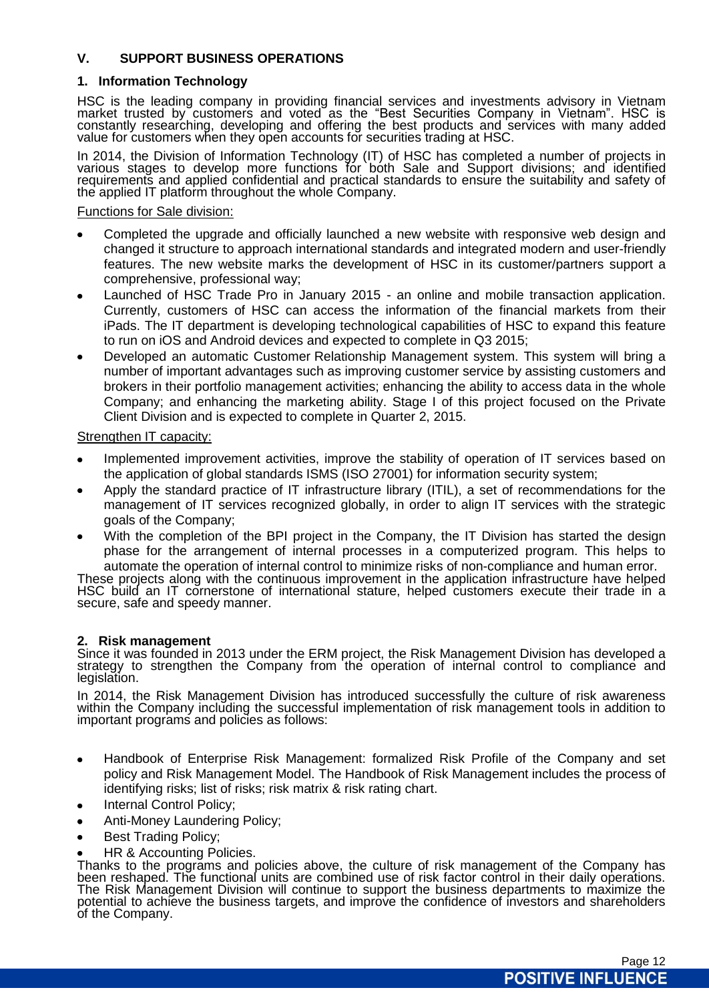# **V. SUPPORT BUSINESS OPERATIONS**

# **1. Information Technology**

HSC is the leading company in providing financial services and investments advisory in Vietnam market trusted by customers and voted as the "Best Securities Company in Vietnam". HSC is constantly researching, developing and offering the best products and services with many added value for customers when they open accounts for securities trading at HSC.

In 2014, the Division of Information Technology (IT) of HSC has completed a number of projects in various stages to develop more functions for both Sale and Support divisions; and identified requirements and applied confidential and practical standards to ensure the suitability and safety of the applied IT platform throughout the whole Company.

## Functions for Sale division:

- Completed the upgrade and officially launched a new website with responsive web design and changed it structure to approach international standards and integrated modern and user-friendly features. The new website marks the development of HSC in its customer/partners support a comprehensive, professional way;
- Launched of HSC Trade Pro in January 2015 an online and mobile transaction application. Currently, customers of HSC can access the information of the financial markets from their iPads. The IT department is developing technological capabilities of HSC to expand this feature to run on iOS and Android devices and expected to complete in Q3 2015;
- Developed an automatic Customer Relationship Management system. This system will bring a number of important advantages such as improving customer service by assisting customers and brokers in their portfolio management activities; enhancing the ability to access data in the whole Company; and enhancing the marketing ability. Stage I of this project focused on the Private Client Division and is expected to complete in Quarter 2, 2015.

# Strengthen IT capacity:

- Implemented improvement activities, improve the stability of operation of IT services based on the application of global standards ISMS (ISO 27001) for information security system;
- Apply the standard practice of IT infrastructure library (ITIL), a set of recommendations for the management of IT services recognized globally, in order to align IT services with the strategic goals of the Company;
- With the completion of the BPI project in the Company, the IT Division has started the design phase for the arrangement of internal processes in a computerized program. This helps to automate the operation of internal control to minimize risks of non-compliance and human error.

These projects along with the continuous improvement in the application infrastructure have helped HSC build an IT cornerstone of international stature, helped customers execute their trade in a secure, safe and speedy manner.

# **2. Risk management**

Since it was founded in 2013 under the ERM project, the Risk Management Division has developed a strategy to strengthen the Company from the operation of internal control to compliance and legislation.

In 2014, the Risk Management Division has introduced successfully the culture of risk awareness within the Company including the successful implementation of risk management tools in addition to important programs and policies as follows:

- $\bullet$ Handbook of Enterprise Risk Management: formalized Risk Profile of the Company and set policy and Risk Management Model. The Handbook of Risk Management includes the process of identifying risks; list of risks; risk matrix & risk rating chart.
- Internal Control Policy;
- Anti-Money Laundering Policy;
- Best Trading Policy;
- HR & Accounting Policies.

Thanks to the programs and policies above, the culture of risk management of the Company has been reshaped. The functional units are combined use of risk factor control in their daily operations. The Risk Management Division will continue to support the business departments to maximize the potential to achieve the business targets, and improve the confidence of investors and shareholders of the Company.